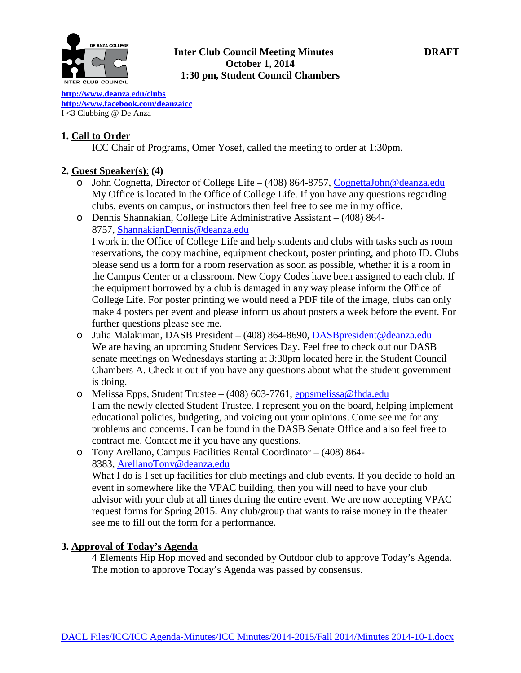

## **Inter Club Council Meeting Minutes DRAFT October 1, 2014 1:30 pm, Student Council Chambers**

**[http://www.deanz](http://www.deanza.edu/clubs)**a.ed**u/clubs [http://www.facebook.com/deanzaicc](http://www.facebook.com/home.php%23!/group.php?gid=59034552686)** I <3 Clubbing @ De Anza

## **1. Call to Order**

ICC Chair of Programs, Omer Yosef, called the meeting to order at 1:30pm.

## **2. Guest Speaker(s)**: **(4)**

- o John Cognetta, Director of College Life (408) 864-8757, [CognettaJohn@deanza.edu](mailto:CognettaJohn@deanza.edu) My Office is located in the Office of College Life. If you have any questions regarding clubs, events on campus, or instructors then feel free to see me in my office.
- o Dennis Shannakian, College Life Administrative Assistant (408) 864- 8757, [ShannakianDennis@deanza.edu](mailto:ShannakianDennis@deanza.edu) I work in the Office of College Life and help students and clubs with tasks such as room reservations, the copy machine, equipment checkout, poster printing, and photo ID. Clubs please send us a form for a room reservation as soon as possible, whether it is a room in the Campus Center or a classroom. New Copy Codes have been assigned to each club. If the equipment borrowed by a club is damaged in any way please inform the Office of College Life. For poster printing we would need a PDF file of the image, clubs can only make 4 posters per event and please inform us about posters a week before the event. For further questions please see me.
- o Julia Malakiman, DASB President (408) 864-8690, [DASBpresident@deanza.edu](mailto:DASBpresident@deanza.edu) We are having an upcoming Student Services Day. Feel free to check out our DASB senate meetings on Wednesdays starting at 3:30pm located here in the Student Council Chambers A. Check it out if you have any questions about what the student government is doing.
- o Melissa Epps, Student Trustee (408) 603-7761, [eppsmelissa@fhda.edu](mailto:eppsmelissa@fhda.edu) I am the newly elected Student Trustee. I represent you on the board, helping implement educational policies, budgeting, and voicing out your opinions. Come see me for any problems and concerns. I can be found in the DASB Senate Office and also feel free to contract me. Contact me if you have any questions.
- o Tony Arellano, Campus Facilities Rental Coordinator (408) 864- 8383, [ArellanoTony@deanza.edu](mailto:ArellanoTony@deanza.edu) What I do is I set up facilities for club meetings and club events. If you decide to hold an event in somewhere like the VPAC building, then you will need to have your club advisor with your club at all times during the entire event. We are now accepting VPAC request forms for Spring 2015. Any club/group that wants to raise money in the theater see me to fill out the form for a performance.

#### **3. Approval of Today's Agenda**

4 Elements Hip Hop moved and seconded by Outdoor club to approve Today's Agenda. The motion to approve Today's Agenda was passed by consensus.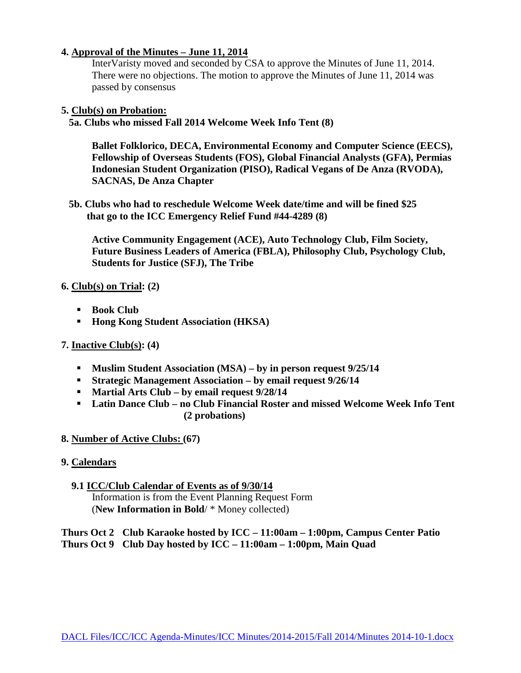## **4. Approval of the Minutes – June 11, 2014**

InterVaristy moved and seconded by CSA to approve the Minutes of June 11, 2014. There were no objections. The motion to approve the Minutes of June 11, 2014 was passed by consensus

#### **5. Club(s) on Probation:**

 **5a. Clubs who missed Fall 2014 Welcome Week Info Tent (8)**

**Ballet Folklorico, DECA, Environmental Economy and Computer Science (EECS), Fellowship of Overseas Students (FOS), Global Financial Analysts (GFA), Permias Indonesian Student Organization (PISO), Radical Vegans of De Anza (RVODA), SACNAS, De Anza Chapter**

 **5b. Clubs who had to reschedule Welcome Week date/time and will be fined \$25 that go to the ICC Emergency Relief Fund #44-4289 (8)**

**Active Community Engagement (ACE), Auto Technology Club, Film Society, Future Business Leaders of America (FBLA), Philosophy Club, Psychology Club, Students for Justice (SFJ), The Tribe**

#### **6. Club(s) on Trial: (2)**

- **Book Club**
- **Hong Kong Student Association (HKSA)**
- **7. Inactive Club(s): (4)**
	- **Muslim Student Association (MSA) – by in person request 9/25/14**
	- **Strategic Management Association – by email request 9/26/14**
	- **Martial Arts Club – by email request 9/28/14**
	- **Latin Dance Club – no Club Financial Roster and missed Welcome Week Info Tent (2 probations)**

#### **8. Number of Active Clubs: (67)**

#### **9. Calendars**

#### **9.1 ICC/Club Calendar of Events as of 9/30/14** Information is from the Event Planning Request Form (**New Information in Bold**/ \* Money collected)

**Thurs Oct 2 Club Karaoke hosted by ICC – 11:00am – 1:00pm, Campus Center Patio Thurs Oct 9 Club Day hosted by ICC – 11:00am – 1:00pm, Main Quad**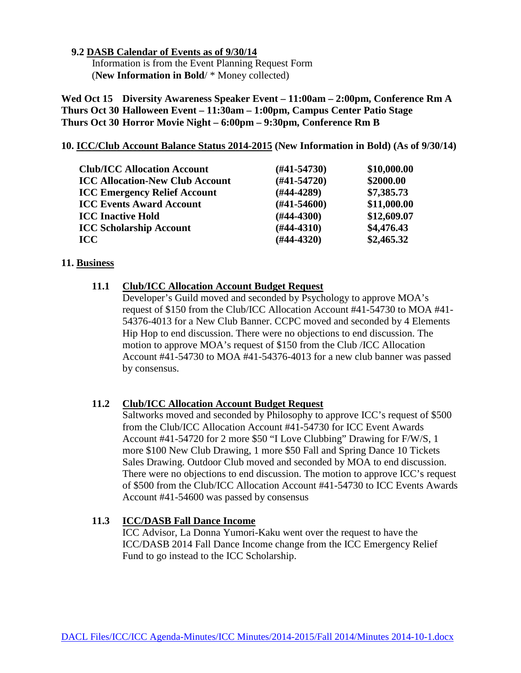#### **9.2 DASB Calendar of Events as of 9/30/14**

 Information is from the Event Planning Request Form (**New Information in Bold**/ \* Money collected)

**Wed Oct 15 Diversity Awareness Speaker Event – 11:00am – 2:00pm, Conference Rm A Thurs Oct 30 Halloween Event – 11:30am – 1:00pm, Campus Center Patio Stage Thurs Oct 30 Horror Movie Night – 6:00pm – 9:30pm, Conference Rm B**

#### **10. ICC/Club Account Balance Status 2014-2015 (New Information in Bold) (As of 9/30/14)**

| <b>Club/ICC Allocation Account</b>     | $(\#41 - 54730)$ | \$10,000.00 |
|----------------------------------------|------------------|-------------|
| <b>ICC Allocation-New Club Account</b> | $(H41-54720)$    | \$2000.00   |
| <b>ICC Emergency Relief Account</b>    | $(H44-4289)$     | \$7,385.73  |
| <b>ICC Events Award Account</b>        | $(\#41 - 54600)$ | \$11,000.00 |
| <b>ICC Inactive Hold</b>               | $(\#44-4300)$    | \$12,609.07 |
| <b>ICC Scholarship Account</b>         | $(#44-4310)$     | \$4,476.43  |
| <b>ICC</b>                             | $(#44-4320)$     | \$2,465.32  |

#### **11. Business**

## **11.1 Club/ICC Allocation Account Budget Request**

Developer's Guild moved and seconded by Psychology to approve MOA's request of \$150 from the Club/ICC Allocation Account #41-54730 to MOA #41- 54376-4013 for a New Club Banner. CCPC moved and seconded by 4 Elements Hip Hop to end discussion. There were no objections to end discussion. The motion to approve MOA's request of \$150 from the Club /ICC Allocation Account #41-54730 to MOA #41-54376-4013 for a new club banner was passed by consensus.

#### **11.2 Club/ICC Allocation Account Budget Request**

Saltworks moved and seconded by Philosophy to approve ICC's request of \$500 from the Club/ICC Allocation Account #41-54730 for ICC Event Awards Account #41-54720 for 2 more \$50 "I Love Clubbing" Drawing for F/W/S, 1 more \$100 New Club Drawing, 1 more \$50 Fall and Spring Dance 10 Tickets Sales Drawing. Outdoor Club moved and seconded by MOA to end discussion. There were no objections to end discussion. The motion to approve ICC's request of \$500 from the Club/ICC Allocation Account #41-54730 to ICC Events Awards Account #41-54600 was passed by consensus

## **11.3 ICC/DASB Fall Dance Income**

ICC Advisor, La Donna Yumori-Kaku went over the request to have the ICC/DASB 2014 Fall Dance Income change from the ICC Emergency Relief Fund to go instead to the ICC Scholarship.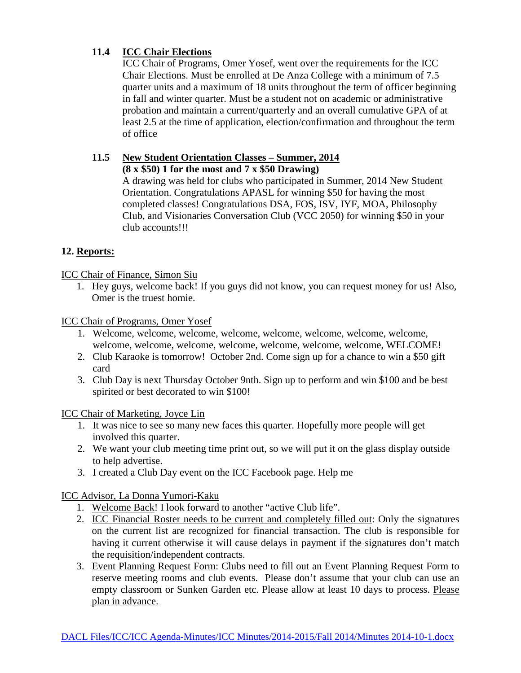## **11.4 ICC Chair Elections**

ICC Chair of Programs, Omer Yosef, went over the requirements for the ICC Chair Elections. Must be enrolled at De Anza College with a minimum of 7.5 quarter units and a maximum of 18 units throughout the term of officer beginning in fall and winter quarter. Must be a student not on academic or administrative probation and maintain a current/quarterly and an overall cumulative GPA of at least 2.5 at the time of application, election/confirmation and throughout the term of office

# **11.5 New Student Orientation Classes – Summer, 2014**

**(8 x \$50) 1 for the most and 7 x \$50 Drawing)**

A drawing was held for clubs who participated in Summer, 2014 New Student Orientation. Congratulations APASL for winning \$50 for having the most completed classes! Congratulations DSA, FOS, ISV, IYF, MOA, Philosophy Club, and Visionaries Conversation Club (VCC 2050) for winning \$50 in your club accounts!!!

# **12. Reports:**

ICC Chair of Finance, Simon Siu

1. Hey guys, welcome back! If you guys did not know, you can request money for us! Also, Omer is the truest homie.

ICC Chair of Programs, Omer Yosef

- 1. Welcome, welcome, welcome, welcome, welcome, welcome, welcome, welcome, welcome, welcome, welcome, welcome, welcome, welcome, welcome, WELCOME!
- 2. Club Karaoke is tomorrow! October 2nd. Come sign up for a chance to win a \$50 gift card
- 3. Club Day is next Thursday October 9nth. Sign up to perform and win \$100 and be best spirited or best decorated to win \$100!

ICC Chair of Marketing, Joyce Lin

- 1. It was nice to see so many new faces this quarter. Hopefully more people will get involved this quarter.
- 2. We want your club meeting time print out, so we will put it on the glass display outside to help advertise.
- 3. I created a Club Day event on the ICC Facebook page. Help me

ICC Advisor, La Donna Yumori-Kaku

- 1. Welcome Back! I look forward to another "active Club life".
- 2. ICC Financial Roster needs to be current and completely filled out: Only the signatures on the current list are recognized for financial transaction. The club is responsible for having it current otherwise it will cause delays in payment if the signatures don't match the requisition/independent contracts.
- 3. Event Planning Request Form: Clubs need to fill out an Event Planning Request Form to reserve meeting rooms and club events. Please don't assume that your club can use an empty classroom or Sunken Garden etc. Please allow at least 10 days to process. Please plan in advance.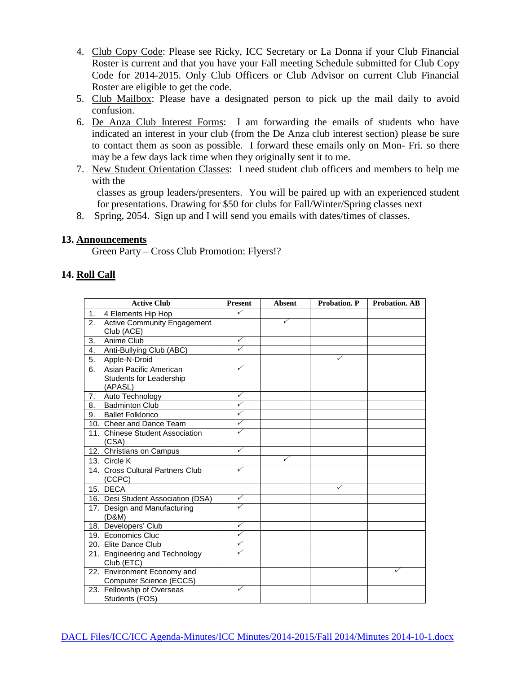- 4. Club Copy Code: Please see Ricky, ICC Secretary or La Donna if your Club Financial Roster is current and that you have your Fall meeting Schedule submitted for Club Copy Code for 2014-2015. Only Club Officers or Club Advisor on current Club Financial Roster are eligible to get the code.
- 5. Club Mailbox: Please have a designated person to pick up the mail daily to avoid confusion.
- 6. De Anza Club Interest Forms: I am forwarding the emails of students who have indicated an interest in your club (from the De Anza club interest section) please be sure to contact them as soon as possible. I forward these emails only on Mon- Fri. so there may be a few days lack time when they originally sent it to me.
- 7. New Student Orientation Classes: I need student club officers and members to help me with the

classes as group leaders/presenters. You will be paired up with an experienced student for presentations. Drawing for \$50 for clubs for Fall/Winter/Spring classes next

8. Spring, 2054. Sign up and I will send you emails with dates/times of classes.

#### **13. Announcements**

Green Party – Cross Club Promotion: Flyers!?

## **14. Roll Call**

|    | <b>Active Club</b>                                     | <b>Present</b> | <b>Absent</b> | Probation. P | <b>Probation. AB</b> |
|----|--------------------------------------------------------|----------------|---------------|--------------|----------------------|
| 1. | 4 Elements Hip Hop                                     | ✓              |               |              |                      |
| 2. | <b>Active Community Engagement</b>                     |                | ✓             |              |                      |
|    | Club (ACE)                                             |                |               |              |                      |
| 3. | Anime Club                                             | ✓              |               |              |                      |
| 4. | Anti-Bullying Club (ABC)                               | ✓              |               |              |                      |
| 5. | Apple-N-Droid                                          |                |               | ✓            |                      |
| 6. | Asian Pacific American                                 |                |               |              |                      |
|    | Students for Leadership<br>(APASL)                     |                |               |              |                      |
| 7. | Auto Technology                                        | ✓              |               |              |                      |
| 8. | <b>Badminton Club</b>                                  | ✓              |               |              |                      |
| 9. | <b>Ballet Folklorico</b>                               | ✓              |               |              |                      |
|    | 10. Cheer and Dance Team                               | ✓              |               |              |                      |
|    | 11. Chinese Student Association<br>(CSA)               | ✓              |               |              |                      |
|    | 12. Christians on Campus                               | ✓              |               |              |                      |
|    | 13. Circle K                                           |                | ✓             |              |                      |
|    | 14. Cross Cultural Partners Club<br>(CCPC)             | ✓              |               |              |                      |
|    | 15. DECA                                               |                |               | ✓            |                      |
|    | 16. Desi Student Association (DSA)                     | ✓              |               |              |                      |
|    | 17. Design and Manufacturing<br>(D&M)                  | ✓              |               |              |                      |
|    | 18. Developers' Club                                   | ✓              |               |              |                      |
|    | 19. Economics Cluc                                     | ✓              |               |              |                      |
|    | 20. Elite Dance Club                                   | ✓              |               |              |                      |
|    | 21. Engineering and Technology<br>Club (ETC)           | ✓              |               |              |                      |
|    | 22. Environment Economy and<br>Computer Science (ECCS) |                |               |              | ✓                    |
|    | 23. Fellowship of Overseas<br>Students (FOS)           | ✓              |               |              |                      |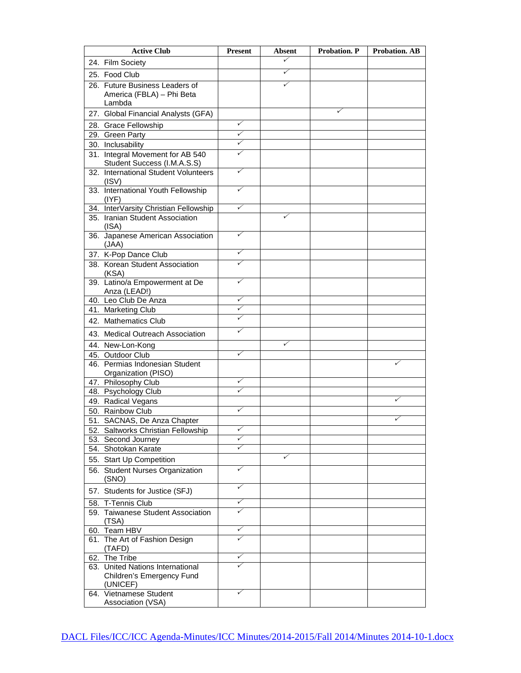| <b>Active Club</b>                                                        | <b>Present</b>          | Absent | Probation. P | <b>Probation. AB</b> |
|---------------------------------------------------------------------------|-------------------------|--------|--------------|----------------------|
| 24. Film Society                                                          |                         | ✓      |              |                      |
| 25. Food Club                                                             |                         | ✓      |              |                      |
| 26. Future Business Leaders of<br>America (FBLA) - Phi Beta<br>Lambda     |                         | ✓      |              |                      |
| 27. Global Financial Analysts (GFA)                                       |                         |        | ✓            |                      |
| 28. Grace Fellowship                                                      | ✓                       |        |              |                      |
| 29. Green Party                                                           | ✓                       |        |              |                      |
| 30. Inclusability                                                         | ✓                       |        |              |                      |
| 31. Integral Movement for AB 540<br>Student Success (I.M.A.S.S)           | ✓                       |        |              |                      |
| 32. International Student Volunteers<br>(ISV)                             | ✓                       |        |              |                      |
| 33. International Youth Fellowship<br>(IVF)                               | ✓                       |        |              |                      |
| 34. InterVarsity Christian Fellowship                                     | ✓                       |        |              |                      |
| 35. Iranian Student Association<br>(ISA)                                  |                         | ✓      |              |                      |
| 36. Japanese American Association<br>(JAA)                                | $\checkmark$            |        |              |                      |
| 37. K-Pop Dance Club                                                      | ✓                       |        |              |                      |
| 38. Korean Student Association<br>(KSA)                                   | ✓                       |        |              |                      |
| 39. Latino/a Empowerment at De<br>Anza (LEAD!)                            | ✓                       |        |              |                      |
| 40. Leo Club De Anza                                                      | ✓                       |        |              |                      |
| 41. Marketing Club                                                        | ✓                       |        |              |                      |
| 42. Mathematics Club                                                      | ✓                       |        |              |                      |
| 43. Medical Outreach Association                                          | ✓                       |        |              |                      |
| 44. New-Lon-Kong                                                          |                         | ✓      |              |                      |
| 45. Outdoor Club                                                          | ✓                       |        |              |                      |
| 46. Permias Indonesian Student<br>Organization (PISO)                     |                         |        |              |                      |
| 47. Philosophy Club                                                       | $\checkmark$            |        |              |                      |
| 48. Psychology Club                                                       | ✓                       |        |              |                      |
| 49. Radical Vegans                                                        |                         |        |              | ✓                    |
| 50. Rainbow Club                                                          | ✓                       |        |              |                      |
| 51. SACNAS, De Anza Chapter<br>52. Saltworks Christian Fellowship         | $\overline{\checkmark}$ |        |              |                      |
| 53. Second Journey                                                        | ✓                       |        |              |                      |
| 54. Shotokan Karate                                                       | ✓                       |        |              |                      |
| 55. Start Up Competition                                                  |                         | ✓      |              |                      |
| 56. Student Nurses Organization<br>(SNO)                                  | ✓                       |        |              |                      |
| 57. Students for Justice (SFJ)                                            | ✓                       |        |              |                      |
| 58. T-Tennis Club                                                         | ✓                       |        |              |                      |
| 59. Taiwanese Student Association<br>(TSA)                                | ✓                       |        |              |                      |
| 60. Team HBV                                                              | ✓                       |        |              |                      |
| 61. The Art of Fashion Design<br>(TAFD)                                   | ✓                       |        |              |                      |
| 62. The Tribe                                                             | ✓                       |        |              |                      |
| 63. United Nations International<br>Children's Emergency Fund<br>(UNICEF) |                         |        |              |                      |
| 64. Vietnamese Student<br>Association (VSA)                               | ✓                       |        |              |                      |